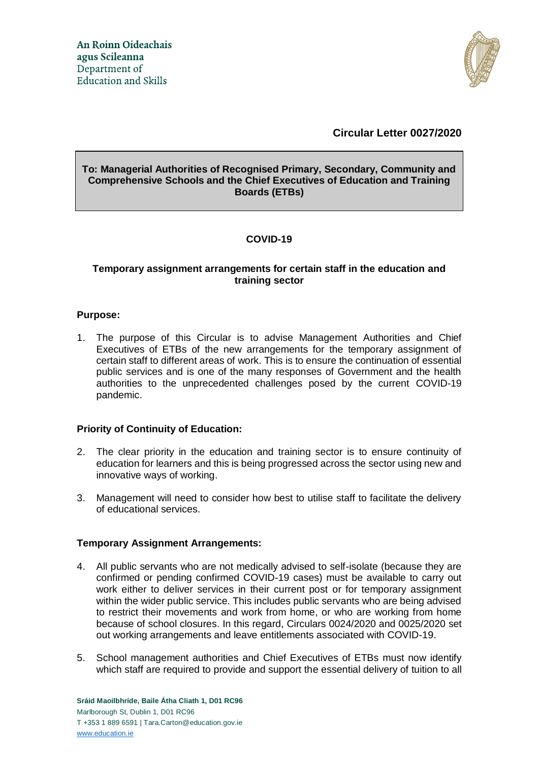

# **Circular Letter 0027/2020**

## **To: Managerial Authorities of Recognised Primary, Secondary, Community and Comprehensive Schools and the Chief Executives of Education and Training Boards (ETBs)**

# **COVID-19**

## **Temporary assignment arrangements for certain staff in the education and training sector**

## **Purpose:**

1. The purpose of this Circular is to advise Management Authorities and Chief Executives of ETBs of the new arrangements for the temporary assignment of certain staff to different areas of work. This is to ensure the continuation of essential public services and is one of the many responses of Government and the health authorities to the unprecedented challenges posed by the current COVID-19 pandemic.

## **Priority of Continuity of Education:**

- 2. The clear priority in the education and training sector is to ensure continuity of education for learners and this is being progressed across the sector using new and innovative ways of working.
- 3. Management will need to consider how best to utilise staff to facilitate the delivery of educational services.

## **Temporary Assignment Arrangements:**

- 4. All public servants who are not medically advised to self-isolate (because they are confirmed or pending confirmed COVID-19 cases) must be available to carry out work either to deliver services in their current post or for temporary assignment within the wider public service. This includes public servants who are being advised to restrict their movements and work from home, or who are working from home because of school closures. In this regard, Circulars 0024/2020 and 0025/2020 set out working arrangements and leave entitlements associated with COVID-19.
- 5. School management authorities and Chief Executives of ETBs must now identify which staff are required to provide and support the essential delivery of tuition to all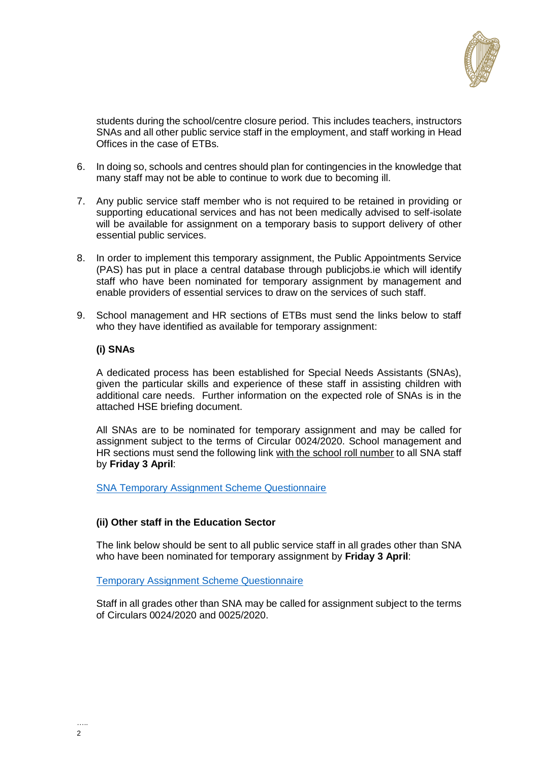

students during the school/centre closure period. This includes teachers, instructors SNAs and all other public service staff in the employment, and staff working in Head Offices in the case of ETBs.

- 6. In doing so, schools and centres should plan for contingencies in the knowledge that many staff may not be able to continue to work due to becoming ill.
- 7. Any public service staff member who is not required to be retained in providing or supporting educational services and has not been medically advised to self-isolate will be available for assignment on a temporary basis to support delivery of other essential public services.
- 8. In order to implement this temporary assignment, the Public Appointments Service (PAS) has put in place a central database through publicjobs.ie which will identify staff who have been nominated for temporary assignment by management and enable providers of essential services to draw on the services of such staff.
- 9. School management and HR sections of ETBs must send the links below to staff who they have identified as available for temporary assignment:

## **(i) SNAs**

A dedicated process has been established for Special Needs Assistants (SNAs), given the particular skills and experience of these staff in assisting children with additional care needs. Further information on the expected role of SNAs is in the attached HSE briefing document.

All SNAs are to be nominated for temporary assignment and may be called for assignment subject to the terms of Circular 0024/2020. School management and HR sections must send the following link with the school roll number to all SNA staff by **Friday 3 April**:

[SNA Temporary Assignment Scheme Questionnaire](https://www.surveymonkey.com/r/Temporary_Assignment_SNA)

## **(ii) Other staff in the Education Sector**

The link below should be sent to all public service staff in all grades other than SNA who have been nominated for temporary assignment by **Friday 3 April**:

[Temporary Assignment Scheme Questionnaire](https://www.surveymonkey.com/r/Temporary_assignment)

Staff in all grades other than SNA may be called for assignment subject to the terms of Circulars 0024/2020 and 0025/2020.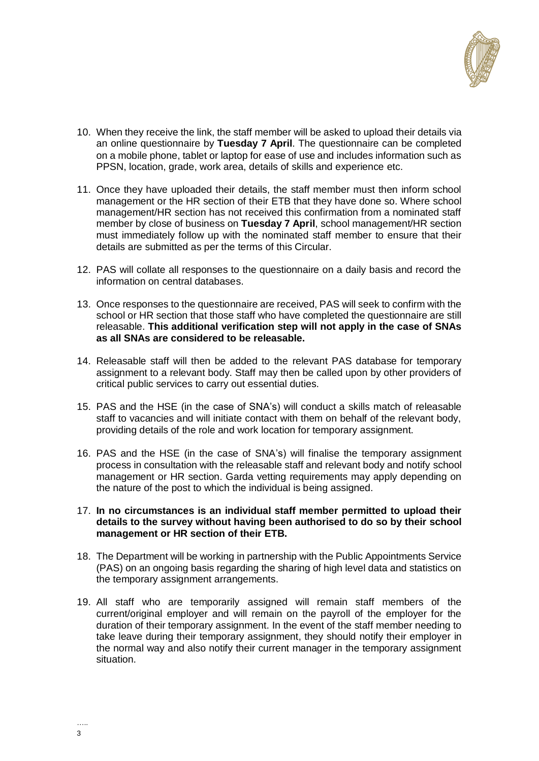

- 10. When they receive the link, the staff member will be asked to upload their details via an online questionnaire by **Tuesday 7 April**. The questionnaire can be completed on a mobile phone, tablet or laptop for ease of use and includes information such as PPSN, location, grade, work area, details of skills and experience etc.
- 11. Once they have uploaded their details, the staff member must then inform school management or the HR section of their ETB that they have done so. Where school management/HR section has not received this confirmation from a nominated staff member by close of business on **Tuesday 7 April**, school management/HR section must immediately follow up with the nominated staff member to ensure that their details are submitted as per the terms of this Circular.
- 12. PAS will collate all responses to the questionnaire on a daily basis and record the information on central databases.
- 13. Once responses to the questionnaire are received, PAS will seek to confirm with the school or HR section that those staff who have completed the questionnaire are still releasable. **This additional verification step will not apply in the case of SNAs as all SNAs are considered to be releasable.**
- 14. Releasable staff will then be added to the relevant PAS database for temporary assignment to a relevant body. Staff may then be called upon by other providers of critical public services to carry out essential duties.
- 15. PAS and the HSE (in the case of SNA's) will conduct a skills match of releasable staff to vacancies and will initiate contact with them on behalf of the relevant body, providing details of the role and work location for temporary assignment.
- 16. PAS and the HSE (in the case of SNA's) will finalise the temporary assignment process in consultation with the releasable staff and relevant body and notify school management or HR section. Garda vetting requirements may apply depending on the nature of the post to which the individual is being assigned.
- 17. **In no circumstances is an individual staff member permitted to upload their details to the survey without having been authorised to do so by their school management or HR section of their ETB.**
- 18. The Department will be working in partnership with the Public Appointments Service (PAS) on an ongoing basis regarding the sharing of high level data and statistics on the temporary assignment arrangements.
- 19. All staff who are temporarily assigned will remain staff members of the current/original employer and will remain on the payroll of the employer for the duration of their temporary assignment. In the event of the staff member needing to take leave during their temporary assignment, they should notify their employer in the normal way and also notify their current manager in the temporary assignment situation.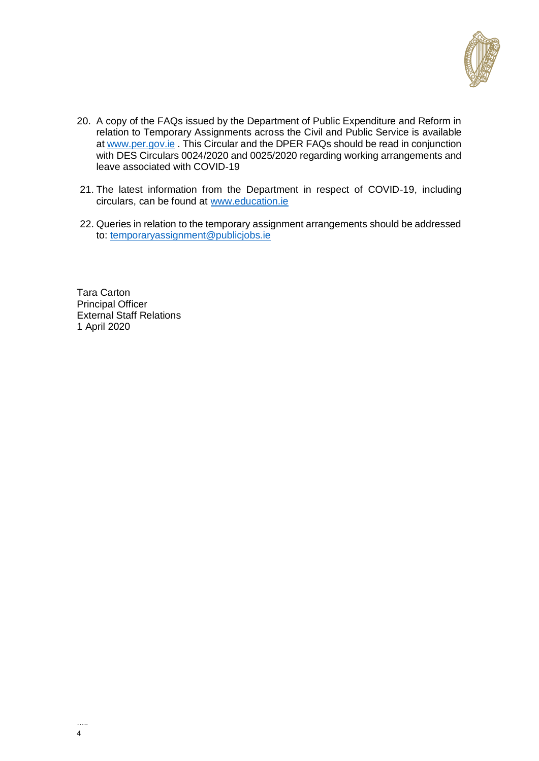

- 20. A copy of the FAQs issued by the Department of Public Expenditure and Reform in relation to Temporary Assignments across the Civil and Public Service is available at [www.per.gov.ie](http://www.per.gov.ie/) . This Circular and the DPER FAQs should be read in conjunction with DES Circulars 0024/2020 and 0025/2020 regarding working arrangements and leave associated with COVID-19
- 21. The latest information from the Department in respect of COVID-19, including circulars, can be found at [www.education.ie](http://www.education.ie/)
- 22. Queries in relation to the temporary assignment arrangements should be addressed to: [temporaryassignment@publicjobs.ie](mailto:temporaryassignment@publicjobs.ie)

Tara Carton Principal Officer External Staff Relations 1 April 2020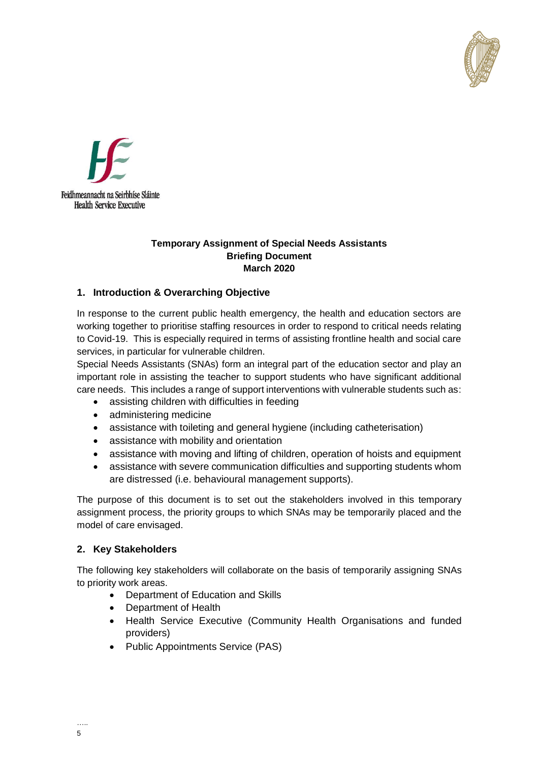



#### **Temporary Assignment of Special Needs Assistants Briefing Document March 2020**

## **1. Introduction & Overarching Objective**

In response to the current public health emergency, the health and education sectors are working together to prioritise staffing resources in order to respond to critical needs relating to Covid-19. This is especially required in terms of assisting frontline health and social care services, in particular for vulnerable children.

Special Needs Assistants (SNAs) form an integral part of the education sector and play an important role in assisting the teacher to support students who have significant additional care needs. This includes a range of support interventions with vulnerable students such as:

- assisting children with difficulties in feeding
- administering medicine
- assistance with toileting and general hygiene (including catheterisation)
- assistance with mobility and orientation
- assistance with moving and lifting of children, operation of hoists and equipment
- assistance with severe communication difficulties and supporting students whom are distressed (i.e. behavioural management supports).

The purpose of this document is to set out the stakeholders involved in this temporary assignment process, the priority groups to which SNAs may be temporarily placed and the model of care envisaged.

## **2. Key Stakeholders**

The following key stakeholders will collaborate on the basis of temporarily assigning SNAs to priority work areas.

- Department of Education and Skills
- Department of Health
- Health Service Executive (Community Health Organisations and funded providers)
- Public Appointments Service (PAS)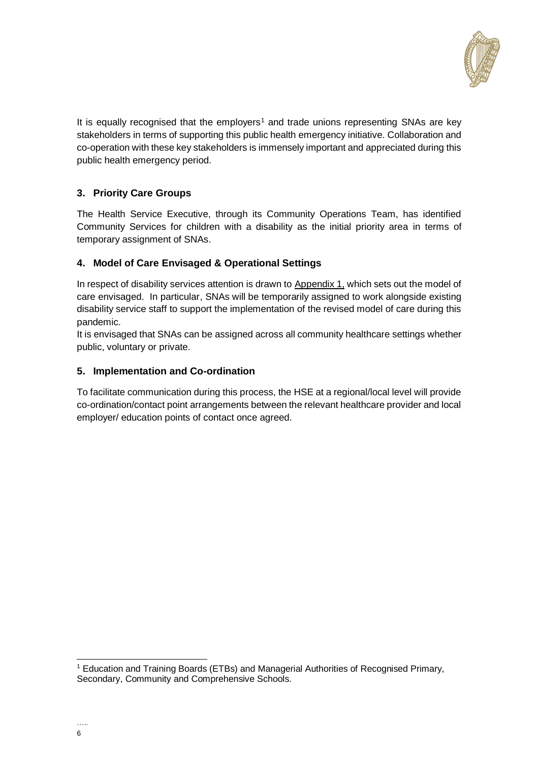

It is equally recognised that the employers<sup>1</sup> and trade unions representing SNAs are key stakeholders in terms of supporting this public health emergency initiative. Collaboration and co-operation with these key stakeholders is immensely important and appreciated during this public health emergency period.

# **3. Priority Care Groups**

The Health Service Executive, through its Community Operations Team, has identified Community Services for children with a disability as the initial priority area in terms of temporary assignment of SNAs.

## **4. Model of Care Envisaged & Operational Settings**

In respect of disability services attention is drawn to Appendix 1, which sets out the model of care envisaged. In particular, SNAs will be temporarily assigned to work alongside existing disability service staff to support the implementation of the revised model of care during this pandemic.

It is envisaged that SNAs can be assigned across all community healthcare settings whether public, voluntary or private.

## **5. Implementation and Co-ordination**

To facilitate communication during this process, the HSE at a regional/local level will provide co-ordination/contact point arrangements between the relevant healthcare provider and local employer/ education points of contact once agreed.

 $\overline{a}$ 

<sup>1</sup> Education and Training Boards (ETBs) and Managerial Authorities of Recognised Primary, Secondary, Community and Comprehensive Schools.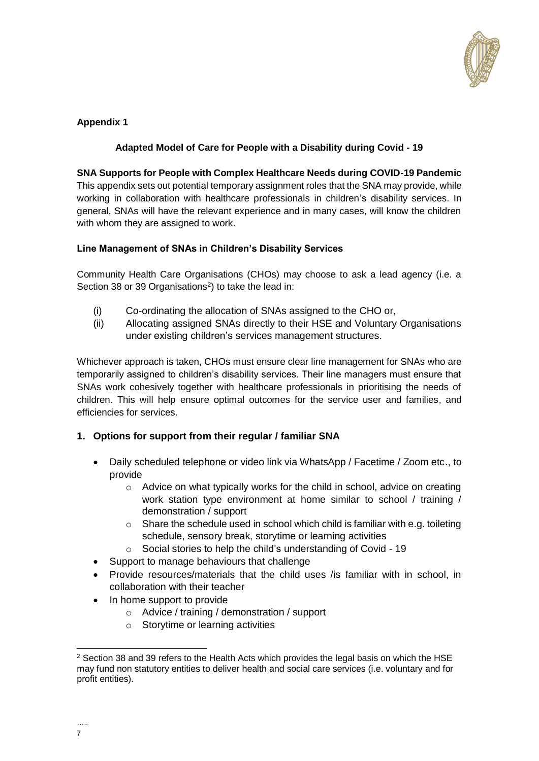

## **Appendix 1**

## **Adapted Model of Care for People with a Disability during Covid - 19**

**SNA Supports for People with Complex Healthcare Needs during COVID-19 Pandemic** This appendix sets out potential temporary assignment roles that the SNA may provide, while working in collaboration with healthcare professionals in children's disability services. In general, SNAs will have the relevant experience and in many cases, will know the children with whom they are assigned to work.

## **Line Management of SNAs in Children's Disability Services**

Community Health Care Organisations (CHOs) may choose to ask a lead agency (i.e. a Section 38 or 39 Organisations<sup>2</sup>) to take the lead in:

- (i) Co-ordinating the allocation of SNAs assigned to the CHO or,
- (ii) Allocating assigned SNAs directly to their HSE and Voluntary Organisations under existing children's services management structures.

Whichever approach is taken, CHOs must ensure clear line management for SNAs who are temporarily assigned to children's disability services. Their line managers must ensure that SNAs work cohesively together with healthcare professionals in prioritising the needs of children. This will help ensure optimal outcomes for the service user and families, and efficiencies for services.

## **1. Options for support from their regular / familiar SNA**

- Daily scheduled telephone or video link via WhatsApp / Facetime / Zoom etc., to provide
	- o Advice on what typically works for the child in school, advice on creating work station type environment at home similar to school / training / demonstration / support
	- o Share the schedule used in school which child is familiar with e.g. toileting schedule, sensory break, storytime or learning activities
	- o Social stories to help the child's understanding of Covid 19
- Support to manage behaviours that challenge
- Provide resources/materials that the child uses /is familiar with in school, in collaboration with their teacher
- In home support to provide
	- o Advice / training / demonstration / support
	- o Storytime or learning activities

  $<sup>2</sup>$  Section 38 and 39 refers to the Health Acts which provides the legal basis on which the HSE</sup> may fund non statutory entities to deliver health and social care services (i.e. voluntary and for profit entities).